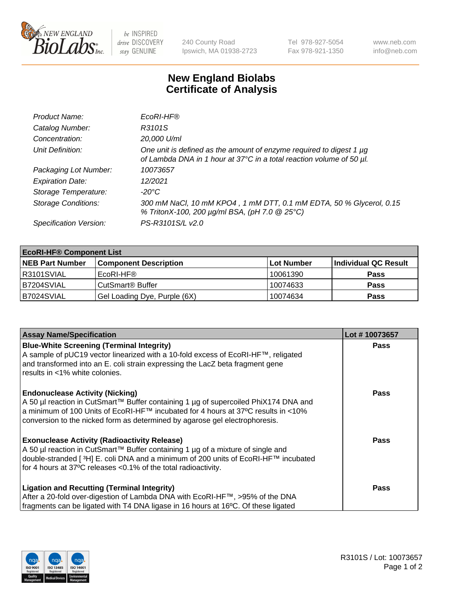

 $be$  INSPIRED drive DISCOVERY stay GENUINE

240 County Road Ipswich, MA 01938-2723 Tel 978-927-5054 Fax 978-921-1350 www.neb.com info@neb.com

## **New England Biolabs Certificate of Analysis**

| Product Name:              | EcoRI-HF®                                                                                                                                   |
|----------------------------|---------------------------------------------------------------------------------------------------------------------------------------------|
| Catalog Number:            | R3101S                                                                                                                                      |
| Concentration:             | 20,000 U/ml                                                                                                                                 |
| Unit Definition:           | One unit is defined as the amount of enzyme required to digest 1 µg<br>of Lambda DNA in 1 hour at 37°C in a total reaction volume of 50 µl. |
| Packaging Lot Number:      | 10073657                                                                                                                                    |
| <b>Expiration Date:</b>    | 12/2021                                                                                                                                     |
| Storage Temperature:       | -20°C                                                                                                                                       |
| <b>Storage Conditions:</b> | 300 mM NaCl, 10 mM KPO4, 1 mM DTT, 0.1 mM EDTA, 50 % Glycerol, 0.15<br>% TritonX-100, 200 µg/ml BSA, (pH 7.0 @ 25°C)                        |
| Specification Version:     | PS-R3101S/L v2.0                                                                                                                            |

| <b>EcoRI-HF® Component List</b> |                              |            |                      |  |  |
|---------------------------------|------------------------------|------------|----------------------|--|--|
| <b>NEB Part Number</b>          | <b>Component Description</b> | Lot Number | Individual QC Result |  |  |
| R3101SVIAL                      | EcoRI-HF®                    | 10061390   | <b>Pass</b>          |  |  |
| IB7204SVIAL                     | CutSmart <sup>®</sup> Buffer | 10074633   | <b>Pass</b>          |  |  |
| B7024SVIAL                      | Gel Loading Dye, Purple (6X) | 10074634   | <b>Pass</b>          |  |  |

| <b>Assay Name/Specification</b>                                                                                                                                                                                                                                                                               | Lot #10073657 |
|---------------------------------------------------------------------------------------------------------------------------------------------------------------------------------------------------------------------------------------------------------------------------------------------------------------|---------------|
| <b>Blue-White Screening (Terminal Integrity)</b><br>A sample of pUC19 vector linearized with a 10-fold excess of EcoRI-HF™, religated<br>and transformed into an E. coli strain expressing the LacZ beta fragment gene                                                                                        | <b>Pass</b>   |
| results in <1% white colonies.                                                                                                                                                                                                                                                                                |               |
| <b>Endonuclease Activity (Nicking)</b><br>A 50 µl reaction in CutSmart™ Buffer containing 1 µg of supercoiled PhiX174 DNA and<br>  a minimum of 100 Units of EcoRI-HF™ incubated for 4 hours at 37°C results in <10%<br>conversion to the nicked form as determined by agarose gel electrophoresis.           | <b>Pass</b>   |
| <b>Exonuclease Activity (Radioactivity Release)</b><br>  A 50 µl reaction in CutSmart™ Buffer containing 1 µg of a mixture of single and<br>double-stranded [ <sup>3</sup> H] E. coli DNA and a minimum of 200 units of EcoRI-HF™ incubated<br>for 4 hours at 37°C releases <0.1% of the total radioactivity. | Pass          |
| <b>Ligation and Recutting (Terminal Integrity)</b>                                                                                                                                                                                                                                                            | <b>Pass</b>   |
| After a 20-fold over-digestion of Lambda DNA with EcoRI-HF™, >95% of the DNA                                                                                                                                                                                                                                  |               |
| fragments can be ligated with T4 DNA ligase in 16 hours at 16°C. Of these ligated                                                                                                                                                                                                                             |               |